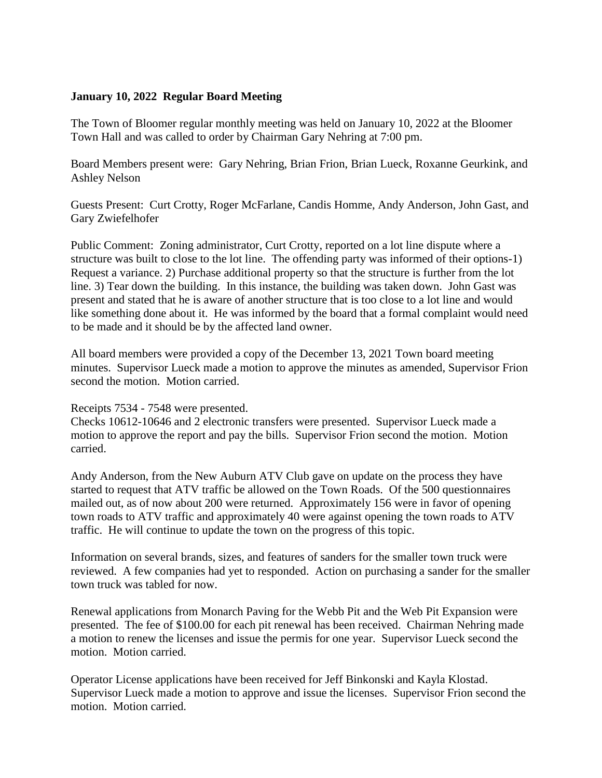## **January 10, 2022 Regular Board Meeting**

The Town of Bloomer regular monthly meeting was held on January 10, 2022 at the Bloomer Town Hall and was called to order by Chairman Gary Nehring at 7:00 pm.

Board Members present were: Gary Nehring, Brian Frion, Brian Lueck, Roxanne Geurkink, and Ashley Nelson

Guests Present: Curt Crotty, Roger McFarlane, Candis Homme, Andy Anderson, John Gast, and Gary Zwiefelhofer

Public Comment: Zoning administrator, Curt Crotty, reported on a lot line dispute where a structure was built to close to the lot line. The offending party was informed of their options-1) Request a variance. 2) Purchase additional property so that the structure is further from the lot line. 3) Tear down the building. In this instance, the building was taken down. John Gast was present and stated that he is aware of another structure that is too close to a lot line and would like something done about it. He was informed by the board that a formal complaint would need to be made and it should be by the affected land owner.

All board members were provided a copy of the December 13, 2021 Town board meeting minutes. Supervisor Lueck made a motion to approve the minutes as amended, Supervisor Frion second the motion. Motion carried.

## Receipts 7534 - 7548 were presented.

Checks 10612-10646 and 2 electronic transfers were presented. Supervisor Lueck made a motion to approve the report and pay the bills. Supervisor Frion second the motion. Motion carried.

Andy Anderson, from the New Auburn ATV Club gave on update on the process they have started to request that ATV traffic be allowed on the Town Roads. Of the 500 questionnaires mailed out, as of now about 200 were returned. Approximately 156 were in favor of opening town roads to ATV traffic and approximately 40 were against opening the town roads to ATV traffic. He will continue to update the town on the progress of this topic.

Information on several brands, sizes, and features of sanders for the smaller town truck were reviewed. A few companies had yet to responded. Action on purchasing a sander for the smaller town truck was tabled for now.

Renewal applications from Monarch Paving for the Webb Pit and the Web Pit Expansion were presented. The fee of \$100.00 for each pit renewal has been received. Chairman Nehring made a motion to renew the licenses and issue the permis for one year. Supervisor Lueck second the motion. Motion carried.

Operator License applications have been received for Jeff Binkonski and Kayla Klostad. Supervisor Lueck made a motion to approve and issue the licenses. Supervisor Frion second the motion. Motion carried.